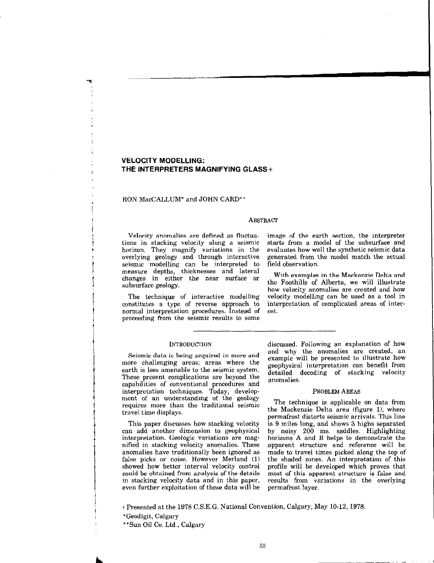# VELOCITY MODELLING: THE INTERPRETERS MAGNIFYING GLASS+

## RON MacCALLUM' and JOHN CARD\*\*

ال<br>الأ )<br>}<br>!

 $\frac{1}{2}$ 

|<br>|<br>|<br>|<br>|<br>|

!

i

 $\mathbf{I}$ i

 $\mathbf{1}$ 

 $\mathbf{1}$ 

### **ABSTRACT**

Velocity anomalies are defined as fluctuations in stacking velocity along a seismic horizon. They magnify variations in the overlying geology and through interactive seismic modelling can be interpreted to measure depths, thicknesses and lateral changes in either the near surface or subsurface geology.

The technique of interactive modelling constitutes a type of reverse approach to normal interpretation procedures. Instead of proceeding from the seismic results to some

image of the earth section, the interpreter starts from a model of the subsurface and evaluates how well the synthetic seismic data generated from the model match the actual field observation.

With examples in the Mackenzie Delta and the Foothills of Alberta, we will illustrate how velocity anomalies are created and how velocity modelling can be used as a tool in interpretation of complicated areas of interest.

## **INTRODUCTION**

Seismic data is being acquired in more and more challenging areas; areas where the earth is less amenable to the seismic system. These present complications are beyond the capabilities of conventional procedures and interpretation techniques. Today, development of an understanding of the geology requires more than the traditional seismic travel time displays.

This paper discusses how stacking velocity can add another dimension to geophysical interpretation. Geologic variations are magnified in stacking velocity anomalies. These anomalies have traditionally been ignored as false picks or noise. However Merland (1) showed how better interval velocity control could be obtained from analysis of the details in stacking velocity data and in this paper, even further exploitation of these data will be discussed. Following an explanation of how and why the anomalies are created, an example will be presented to illustrate how geophysical interpretation can benefit from detailed decoding of stacking velocity anomalies.

### PROBLEM AREAS

The technique is applicable on data from the Mackenzie Delta area (figure 1), where permafrost distorts seismic arrivals. This line is 9 miles long, and shows 3 highs separated by noisy 200 ms. saddles. Highlighting horizons A and B helps to demonstrate the apparent structure and reference will be made to travel times picked along the top of the shaded zones. An interpretation of this profile will be developed which proves that most of this apparent structure is false and results from variations in the overlying permafrost layer.

+Presented at the 1978 C.S.E.G. National Convention, Calgary, May 10-12, 1978.

\*Geodigit, Calgary

\*\*Sun Oil Co. Ltd., Calgary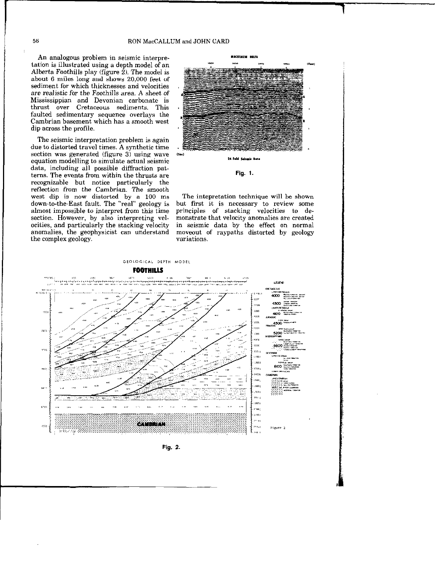An analogous problem in seismic interpretation is illustrated using a depth model of an Alberta Foothills play (figure  $2$ ). The model is about 6 miles long and shows 20,000 feet of sediment for which thicknesses and velocities are realistic for the Foothills area. A sheet of Mississippian and Devonian carbonate is thrust over Cretaceous sediments. This . faulted sedimentary sequence overlays the Cambrian basement which has a smooth west dip across the profile.

The seismic interpretation problem is again due to distorted travel times. A synthetic time section was generated (figure 3) using wave  $(54)$ equation modelling to simulate actual seismic 24 Feld Selenic Data data, including all possible diffraction patterns. The events from within the thrusts are Fig. 1. recognizable but notice particularly the reflection from the Cambrian. The smooth west dip is now distorted by a 100 ms The intepretation technique will be shown down-to-the-East fault. The "real" geology is but first it is necessary to review some down-to-the-East fault. The "real" geology is but first it is necessary to review some almost impossible to interpret from this time principles of stacking velocities to dealmost impossible to interpret from this time section. However, by also interpreting vel- monstrate that velocity anomalies are created ocities, and particularly the stacking velocity in seismic data by the effect on normal anomalies, the geophysicist can understand moveout of raypaths distorted by geology the complex geology.





Fig. 2.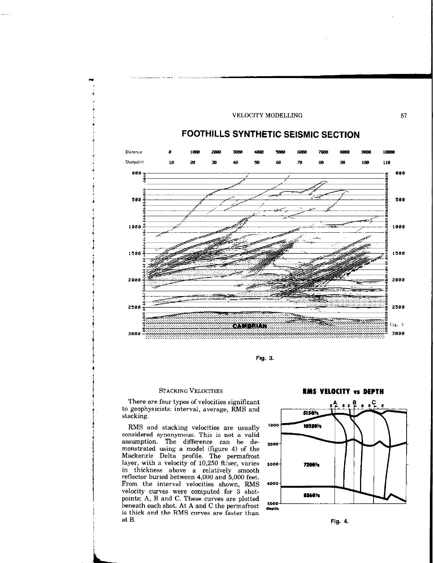

Fig. 3.

 $\left\{ \right.$ 

;<br>}<br>!

i

i

 $\frac{1}{2}$ 

 $\ddot{\phantom{a}}$ 

 $\frac{1}{2}$ <br>f<br>f<br>f<br>f<br>f<br>f<br>f<br>f<br>f<br>f<br>f<br>f<br>f<br>f<br>f

I

I<br>I<br>I

I<br>I

c

1,

There are four types of velocities significant to geophysicists: interval, average, RMS and stacking.

RMS and stacking velocities are usually considered synonymous. This is not a valid assumption. The difference can be demonstrated using a model (figure 4) of the Mackenzie Delta profile. The permafrost layer, with a velocity of  $10,250$  ft/sec, varies in thickness above a relatively smooth reflector buried between 4,000 and 5,000 feet. From the interval velocities shown, RMS velocity curves were computed for 3 shotpoints; A, B and C. These curves are plotted beneath each shot. At A and C the permafrost is thick and the RMS curves are faster than at B. Fig. 4.

STACKING VELOCITIES **RMS VELOCITY VS DEPTH** 

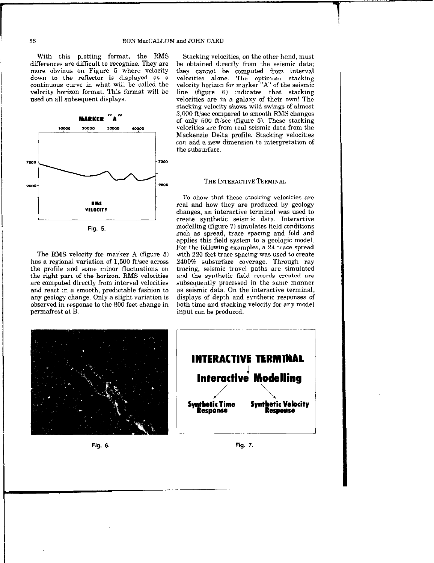With this plotting format, the RMS Stacking velocities, on the other hand, must differences are difficult to recognize. They are be obtained directly from the seismic data;<br>more obvious on Figure 5 where velocity they cannot be computed from interval more obvious on Figure 5 where velocity down to the reflector is displayed as a continuous curve in what will be called the velocity horizon for marker "A" of the seismic velocity horizon format. This format will be line (figure 6) indicates that stacking used on all subsequent displays. velocities are in a galaxy of their own! The



The RMS velocity for marker A (figure 5) has a regional variation of  $1,500$  ft/sec across the profile and some minor fluctuations on the right part of the horizon. RMS velocities are computed directly from interval velocities and react in a smooth, predictable fashion to any geology change. Only a slight variation is observed in response to the 800 feet change in permafrost at B. The produced input can be produced.

velocities alone. The optimum stacking stacking velocity shows wild swings of almost 3,000 ft/sec compared to smooth RMS changes of only 500 ft/sec (figure 5). These stacking velocities are from real seismic data from the Mackenzie Delta profile. Stacking velocities can add a new dimension to interpretation of the subsurface.

# **POOO** THE INTERACTIVE TERMINAL

To show that these stacking velocities are real and how they are produced by geology changes, an interactive terminal was used to create synthetic seismic data. Interactive modelling (figure 7) simulates field conditions such as spread, trace spacing and fold and applies this field system to a geologic model. For the following examples, a 24 trace spread with 220 feet trace spacing was used to create 2400% subsurface coverage. Through ray tracing, seismic travel paths are simulated and the synthetic field records created are subsequently processed in the same manner as seismic data. On the interactive terminal, displays of depth and synthetic responses of both time and stacking velocity for any model







Fig. 6. Fig. 7.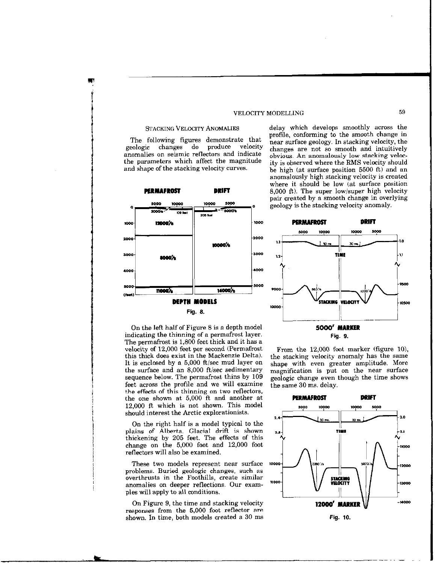The following figures demonstrate that<br>eologic changes do produce velocity geologic changes do anomalies on seismic reflectors and indicate the parameters which affect the magnitude and shape of the stacking velocity curves.



On the left half of Figure 8 is a depth model indicating the thinning of a permafrost layer. The permafrost is 1,300 feet thick and it has a velocity of 12,000 feet per second (Permafrost this thick does exist in the Mackenzie Delta). It is enclosed by a  $5,000$  ft/sec mud layer on the surface and an  $8,000$  ft/sec sedimentary sequence below. The permafrost thins by 109 feet across the profile and we will examine the effects of this thinning on two reflectors, the one shown at 5.000 ft and another at 12,000 ft which is not shown. This model should interest the Arctic explorationists.

On the right half is a model typical to the plains of Alberta. Glacial drift is shown thickening by 205 feet. The effects of this change on the 5,000 foot and 12,000 foot reflectors will also be examined.

These two models represent near surface problems. Buried geologic changes, such as overthrusts in the Foothills, create similar anomalies on deeper reflections. Our examples will apply to all conditions.

On Figure 9, the time and stacking velocity responses from the 5,000 foot reflector are shown. In time, both models created a 30 ms

STACKING VELOCITY ANOMALIES delay which develops smoothly across the profile, conforming to the smooth change in near surface geology. In stacking velocity, the changes are not so smooth and intuitively obvious. An anomalously low stacking velocity is observed where the BMS velocity should be high (at surface position 5500 ft) and an anomalously high stacking velocity is created where it should be low (at surface position 8,000 ft). The super low/super high velocity pair created by a smooth change in overlying geology is the stacking velocity anomaly.



From the  $12,000$  foot marker (figure 10), the stacking velocity anomaly has the same shape with even greater amplitude. More magnification is put on the near surface geologic change even though the time shows the same 30 ms. delay.

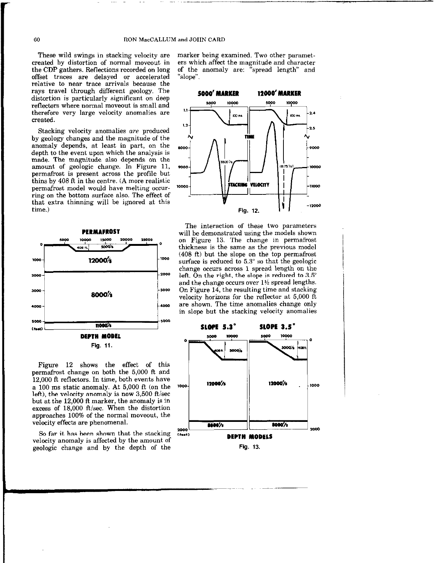offset traces are delayed or accelerated "slope". relative to near trace arrivals because the rays travel through different geology. The rays travel through different geology. The 5000' MARKER 12000' MARKER<br>distortion is particularly significant on deep<br>reflectors where normal moveout is small and 5000 10000 10000 10000 reflectors where normal moveout is small and therefore very large velocity anomalies are created.

Stacking velocity anomalies are produced by geology changes and the magnitude of the anomaly depends, at least in part, on the depth to the event upon which the analysis is made. The magnitude also depends on the amount of geologic change. In Figure 11, permafrost is present across the profile but thins by 408 R in the centre. (A more realistic permafrost model would have melting occurring on the bottom surface also. The effect of that extra thinning will be ignored at this time.)



Figure 12 shows the effect of this permafrost change on both the 5,000 ft and 12,000 ft reflectors. In time, both events have a 100 ms static anomaly. At  $5,000$  ft (on the  $1000$ left), the velocity anomaly is now  $3,500$  ft/sec but at the 12,000 ft marker, the anomaly is in excess of 18,000 ft/sec. When the distortion<br>
approaches 100% of the normal moveout, the<br>
velocity effects are phenomenal.<br>
So far it has been shown that the stacking FE, approaches 100% of the normal moveout, the

So far it has been shown that the stacking  $(1000)$ <br>velocity anomaly is affected by the amount of **DEPTH MODELS** geologic change and by the depth of the Fig. 13.

These wild swings in stacking velocity are marker being examined. Two other parametcreated by distortion of normal moveout in ers which affect the magnitude and character the CDP gathers. Reflections recorded on long of the anomaly are: "spread length" and



The interaction of these two parameters will be demonstrated using the models shown on Figure 13. The change in permafrost thickness is the same as the previous model  $(408 \text{ ft})$  but the slope on the top permafrost surface is reduced to  $5.3^\circ$  so that the geologic change occurs across 1 spread length on the  $2000$  left. On the right, the slope is reduced to 3.5° and the change occurs over 1% spread lengths.  $1$ -3000 On Figure 14, the resulting time and stacking velocity horizons for the reflector at 5,000 ft 4000 are shown. The time anomalies change only in slope but the stacking velocity anomalies

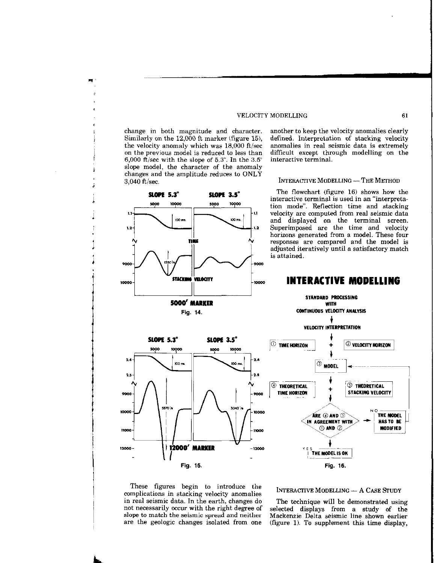6,000 ft/sec with the slope of 5.3°. In the 3.5° interactive terminal. slope model, the character of the anomaly changes and the amplitude reduces to ONLY 3,040 ft/sec. The Monet of the Monet Monet Monet Monet Monet Monet Monet Method

change in both magnitude and character. another to keep the velocity anomalies clearly Similarly on the 12,000 ft marker (figure 15), defined. Interpretation of stacking velocity the velocity anomaly which was  $18,000$  ft/sec anomalies in real seismic data is extremely on the previous model is reduced to less than difficult except through modelling on the

SLOPE 5.2" SLOPE 3.5" The flowchart (figure 16) shows how the interactive terminal is used in an "interpretation mode". Reflection time and stacking velocity are computed from real seismic data and displayed on the terminal screen. Superimposed are the time and velocity horizons generated from a model. These four responses are compared and the model is adjusted iteratively until a satisfactory match is attained.

### 5000 10000 5000 10000  $1.1$  $\mathbf{u}$ ,  $\Box$ iOO mi  $100 m$  $1.2$ TIME 9000 2000 **STACK MA VELOCITY** 10000 L II 5000<sup>'</sup> MARKER Fig. 14. CONTINUOUS VELOCITY ANALYSIS

SLOPE 3.5°

# 10000 INTERACTIVE MODELLING

STANDARD PROCESSING **WITH** 

4

5000 10000 10000 5000  $2.4$  $2.4$  $00 -$ **IOO** m  $2.5$  $2.5$ 9000 9000  $3370h$ 3040 % 10000 10000 11000 1000 12000' MARKER 12000- $-12000$ 

SLOPE 5.3°



These figures begin to introduce the These rigures begin to introduce the INTERACTIVE MODELLING - A CASE STUDY complications in stacking velocity anomalies in real seismic data. In the earth, changes do The technique will be demonstrated using not necessarily occur with the right degree of selected displays from a study of the slope to match the seismic spread and neither Mackenzie Delta seismic line shown earlier

are the geologic changes isolated from one (figure 1). To supplement this time display,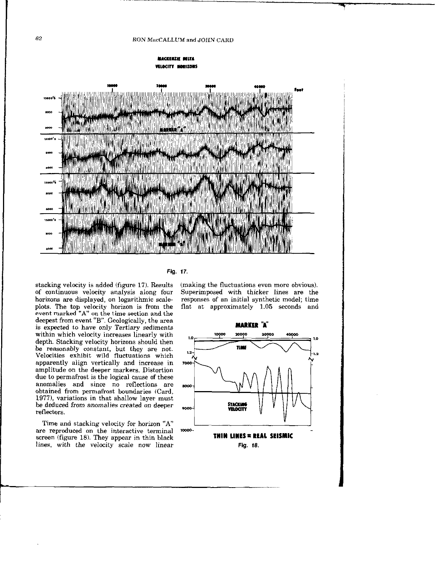

### Fig. 17.

stacking velocity is added (figure 17). Results of continuous velocity analysis along four horizons are displayed, on logarithmic scaleplots The top velocity horizon is from the event marked "A" on the time section and the deepest from event "B". Geologically, the area is expected to have only Tertiary sediments within which velocity increases linearly with depth. Stacking velocity horizons should then be reasonably constant, but they are not. Velocities exhibit wild fluctuations which apparently align vertically and increase in amplitude on the deeper markers. Distortion due to permafrost is the logical cause of these anomalies and since no reflections are obtained from permafrost boundaries (Card, 1977), variations in that shallow layer must be deduced from anomalies created on deeper reflectors.

Time and stacking velocity for horizon "A" are reproduced on the interactive terminal 10000screen (figure 18). They appear in thin black lines, with the velocity scale now linear

(making the fluctuations even more obvious). Superimposed with thicker lines are the responses of an initial synthetic model; time flat at approximately 1.05 seconds and

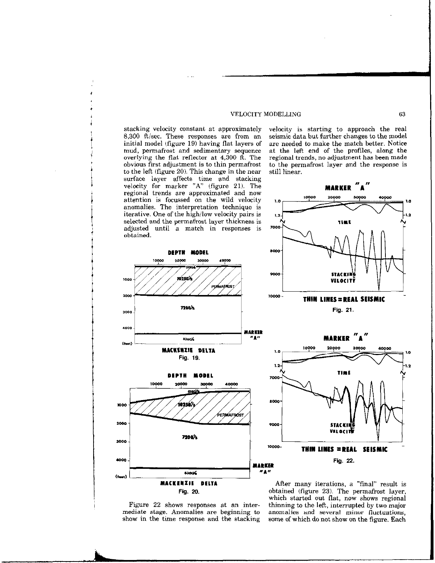overlying the flat reflector at  $4,300$   $\hat{\text{ft}}$ . The obvious first adjustment is to thin permafrost to the left (figure 20). This change in the near. surface layer affects time and stacking velocity for marker "A" (figure 21). The  $M_A N$ regional trends are approximated and now anomalies. The interpretation technique is selected and the permafrost layer thickness is adjusted until a match in responses is obtained.

stacking velocity constant at approximately velocity is starting to approach the real  $8,300$  ft/sec. These responses are from an seismic data but further changes to the model seismic data but further changes to the model<br>are needed to make the match better. Notice initial model (figure 19) having flat layers of are needed to make the match better. Notice mud, permafrost and sedimentary sequence at the left end of the profiles, along the mud, permafrost and sedimentary sequence at the left end of the profiles, along the overlying the flat reflector at 4,300 ft. The regional trends, no adjustment has been made to the permafrost layer and the response is still linear.





show in the time response and the stacking

Fig. 20. obtained (figure 23). The permafrost layer, which started out flat, now shows regional Figure 22 shows responses at an inter- thinning to the left, interrupted by two major mediate stage. Anomalies are beginning to anomalies and several minor fluctuations, show in the time response and the stacking some of which do not show on the figure. Each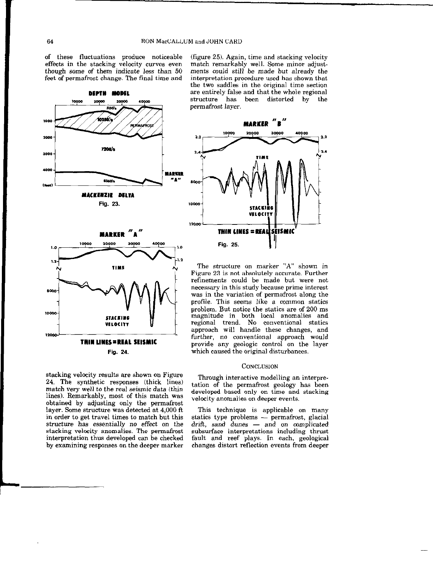$2.2$ 

 $2.4$ 

8000

of these fluctuations produce noticeable effects in the stacking velocity curves even though some of them indicate less than 50 feet of permafrost change. The final time and

(figure 25). Again, time and stacking velocity match remarkably well. Some minor adjustments could still be made but already the interpretation procedure used has shown that the two saddles in the original time section are entirely false and that the whole regional structure has been distorted by the permafrost layer.

**MARKER** 

20000

10000

Fig. 25.

n II



The structure on marker "A" shown in Figure 23 is not absolutely accurate. Further refinements could be made but were not necessary in this study because prime interest was in the variation of permafrost along the profile. This seems like a common statics problem. But notice the statics are of 200 ms magnitude in both local anomalies and regional trend. No conventional statics approach will handle these changes, and further, no conventional approach would provide any geologic control on the layer which caused the original disturbances.

VELOCITY

THIN LINES = REAL SEISMIC

### **CONCLUSION**

stacking velocity results are shown on Figure stacking velocity results are shown on Figure<br>24. The synthetic responses (thick lines) tation of the permafrost geology has been match very well to the real seismic data (thin lines). Remarkably, most of this match was obtained by adjusting only the permafrost layer. Some structure was detected at 4,000 ft. layer. Some structure was detected at 4,000 ft This technique is applicable on many in order to get travel times to match but this statics type problems — permafrost, glacial structure has essentially no effect on the stacking velocity anomalies. The permafrost stacking velocity anomalies. The permafrost subsurface interpretations including thrust<br>interpretation thus developed can be checked fault and reef plays. In each, geological interpretation thus developed can be checked fault and reef plays. In each, geological

developed based only on time and stacking<br>velocity anomalies on deeper events.

statics type problems  $-$  permafrost, glacial drift, sand dunes  $-$  and on complicated changes distort reflection events from deeper